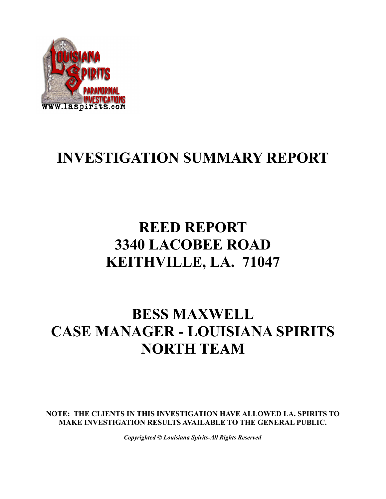

# **INVESTIGATION SUMMARY REPORT**

# **REED REPORT 3340 LACOBEE ROAD KEITHVILLE, LA. 71047**

### **BESS MAXWELL CASE MANAGER - LOUISIANA SPIRITS NORTH TEAM**

**NOTE: THE CLIENTS IN THIS INVESTIGATION HAVE ALLOWED LA. SPIRITS TO MAKE INVESTIGATION RESULTS AVAILABLE TO THE GENERAL PUBLIC.**

*Copyrighted © Louisiana Spirits-All Rights Reserved*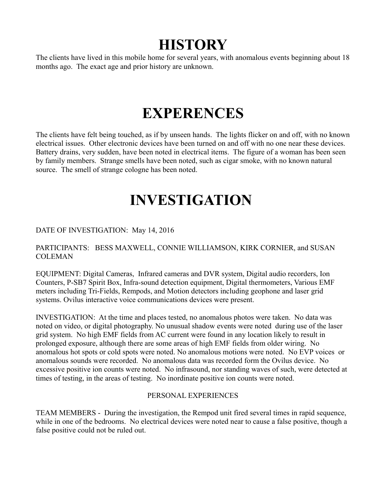### **HISTORY**

The clients have lived in this mobile home for several years, with anomalous events beginning about 18 months ago. The exact age and prior history are unknown.

# **EXPERENCES**

The clients have felt being touched, as if by unseen hands. The lights flicker on and off, with no known electrical issues. Other electronic devices have been turned on and off with no one near these devices. Battery drains, very sudden, have been noted in electrical items. The figure of a woman has been seen by family members. Strange smells have been noted, such as cigar smoke, with no known natural source. The smell of strange cologne has been noted.

# **INVESTIGATION**

#### DATE OF INVESTIGATION: May 14, 2016

#### PARTICIPANTS: BESS MAXWELL, CONNIE WILLIAMSON, KIRK CORNIER, and SUSAN **COLEMAN**

EQUIPMENT: Digital Cameras, Infrared cameras and DVR system, Digital audio recorders, Ion Counters, P-SB7 Spirit Box, Infra-sound detection equipment, Digital thermometers, Various EMF meters including Tri-Fields, Rempods, and Motion detectors including geophone and laser grid systems. Ovilus interactive voice communications devices were present.

INVESTIGATION: At the time and places tested, no anomalous photos were taken. No data was noted on video, or digital photography. No unusual shadow events were noted during use of the laser grid system. No high EMF fields from AC current were found in any location likely to result in prolonged exposure, although there are some areas of high EMF fields from older wiring. No anomalous hot spots or cold spots were noted. No anomalous motions were noted. No EVP voices or anomalous sounds were recorded. No anomalous data was recorded form the Ovilus device. No excessive positive ion counts were noted. No infrasound, nor standing waves of such, were detected at times of testing, in the areas of testing. No inordinate positive ion counts were noted.

#### PERSONAL EXPERIENCES

TEAM MEMBERS - During the investigation, the Rempod unit fired several times in rapid sequence, while in one of the bedrooms. No electrical devices were noted near to cause a false positive, though a false positive could not be ruled out.